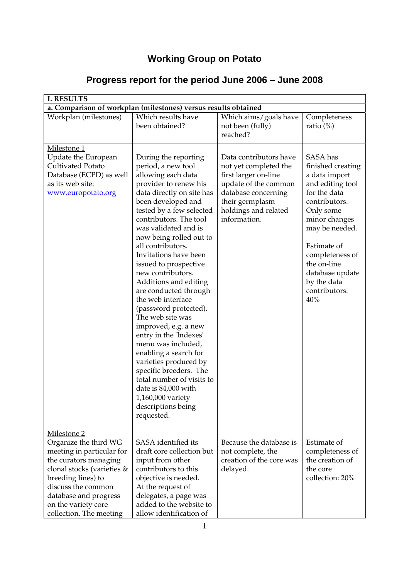# **Working Group on Potato**

| <b>I. RESULTS</b>                                                                                                                                                                                                                               |                                                                                                                                                                                                                                                                                                                                                                                                                                                                                                                                                                                                                                                                                                                                        |                                                                                                                                                                                   |                                                                                                                                                                                                                                                                |  |
|-------------------------------------------------------------------------------------------------------------------------------------------------------------------------------------------------------------------------------------------------|----------------------------------------------------------------------------------------------------------------------------------------------------------------------------------------------------------------------------------------------------------------------------------------------------------------------------------------------------------------------------------------------------------------------------------------------------------------------------------------------------------------------------------------------------------------------------------------------------------------------------------------------------------------------------------------------------------------------------------------|-----------------------------------------------------------------------------------------------------------------------------------------------------------------------------------|----------------------------------------------------------------------------------------------------------------------------------------------------------------------------------------------------------------------------------------------------------------|--|
| a. Comparison of workplan (milestones) versus results obtained                                                                                                                                                                                  |                                                                                                                                                                                                                                                                                                                                                                                                                                                                                                                                                                                                                                                                                                                                        |                                                                                                                                                                                   |                                                                                                                                                                                                                                                                |  |
| Workplan (milestones)                                                                                                                                                                                                                           | Which results have<br>been obtained?                                                                                                                                                                                                                                                                                                                                                                                                                                                                                                                                                                                                                                                                                                   | Which aims/goals have<br>not been (fully)<br>reached?                                                                                                                             | Completeness<br>ratio $(\%)$                                                                                                                                                                                                                                   |  |
| Milestone 1<br>Update the European<br>Cultivated Potato<br>Database (ECPD) as well<br>as its web site:<br>www.europotato.org                                                                                                                    | During the reporting<br>period, a new tool<br>allowing each data<br>provider to renew his<br>data directly on site has<br>been developed and<br>tested by a few selected<br>contributors. The tool<br>was validated and is<br>now being rolled out to<br>all contributors.<br>Invitations have been<br>issued to prospective<br>new contributors.<br>Additions and editing<br>are conducted through<br>the web interface<br>(password protected).<br>The web site was<br>improved, e.g. a new<br>entry in the 'Indexes'<br>menu was included,<br>enabling a search for<br>varieties produced by<br>specific breeders. The<br>total number of visits to<br>date is 84,000 with<br>1,160,000 variety<br>descriptions being<br>requested. | Data contributors have<br>not yet completed the<br>first larger on-line<br>update of the common<br>database concerning<br>their germplasm<br>holdings and related<br>information. | SASA has<br>finished creating<br>a data import<br>and editing tool<br>for the data<br>contributors.<br>Only some<br>minor changes<br>may be needed.<br>Estimate of<br>completeness of<br>the on-line<br>database update<br>by the data<br>contributors:<br>40% |  |
| Milestone 2<br>Organize the third WG<br>meeting in particular for<br>the curators managing<br>clonal stocks (varieties &<br>breeding lines) to<br>discuss the common<br>database and progress<br>on the variety core<br>collection. The meeting | SASA identified its<br>draft core collection but<br>input from other<br>contributors to this<br>objective is needed.<br>At the request of<br>delegates, a page was<br>added to the website to<br>allow identification of                                                                                                                                                                                                                                                                                                                                                                                                                                                                                                               | Because the database is<br>not complete, the<br>creation of the core was<br>delayed.                                                                                              | Estimate of<br>completeness of<br>the creation of<br>the core<br>collection: 20%                                                                                                                                                                               |  |

# **Progress report for the period June 2006 – June 2008**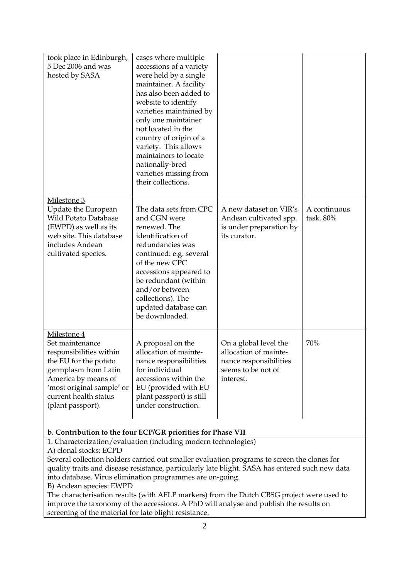| took place in Edinburgh,<br>5 Dec 2006 and was<br>hosted by SASA                                                                                                                                             | cases where multiple<br>accessions of a variety<br>were held by a single<br>maintainer. A facility<br>has also been added to<br>website to identify<br>varieties maintained by<br>only one maintainer<br>not located in the<br>country of origin of a<br>variety. This allows<br>maintainers to locate<br>nationally-bred<br>varieties missing from |                                                                                                             |                           |
|--------------------------------------------------------------------------------------------------------------------------------------------------------------------------------------------------------------|-----------------------------------------------------------------------------------------------------------------------------------------------------------------------------------------------------------------------------------------------------------------------------------------------------------------------------------------------------|-------------------------------------------------------------------------------------------------------------|---------------------------|
| Milestone 3<br>Update the European<br><b>Wild Potato Database</b><br>(EWPD) as well as its<br>web site. This database<br>includes Andean<br>cultivated species.                                              | their collections.<br>The data sets from CPC<br>and CGN were<br>renewed. The<br>identification of<br>redundancies was<br>continued: e.g. several<br>of the new CPC<br>accessions appeared to<br>be redundant (within<br>and/or between<br>collections). The<br>updated database can<br>be downloaded.                                               | A new dataset on VIR's<br>Andean cultivated spp.<br>is under preparation by<br>its curator.                 | A continuous<br>task. 80% |
| Milestone 4<br>Set maintenance<br>responsibilities within<br>the EU for the potato<br>germplasm from Latin<br>America by means of<br>'most original sample' or<br>current health status<br>(plant passport). | A proposal on the<br>allocation of mainte-<br>nance responsibilities<br>for individual<br>accessions within the<br>EU (provided with EU<br>plant passport) is still<br>under construction.                                                                                                                                                          | On a global level the<br>allocation of mainte-<br>nance responsibilities<br>seems to be not of<br>interest. | 70%                       |

### **b. Contribution to the four ECP/GR priorities for Phase VII**

1. Characterization/evaluation (including modern technologies)

A) clonal stocks: ECPD

Several collection holders carried out smaller evaluation programs to screen the clones for quality traits and disease resistance, particularly late blight. SASA has entered such new data into database. Virus elimination programmes are on-going.

B) Andean species: EWPD

The characterisation results (with AFLP markers) from the Dutch CBSG project were used to improve the taxonomy of the accessions. A PhD will analyse and publish the results on screening of the material for late blight resistance.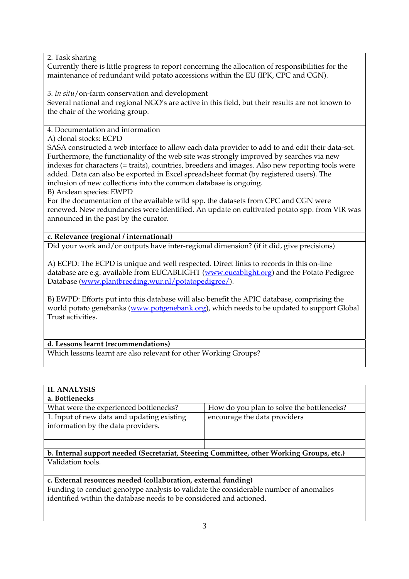2. Task sharing

Currently there is little progress to report concerning the allocation of responsibilities for the maintenance of redundant wild potato accessions within the EU (IPK, CPC and CGN).

3. *In situ*/on-farm conservation and development Several national and regional NGO's are active in this field, but their results are not known to the chair of the working group.

4. Documentation and information

A) clonal stocks: ECPD

SASA constructed a web interface to allow each data provider to add to and edit their data-set. Furthermore, the functionality of the web site was strongly improved by searches via new indexes for characters (= traits), countries, breeders and images. Also new reporting tools were added. Data can also be exported in Excel spreadsheet format (by registered users). The inclusion of new collections into the common database is ongoing.

B) Andean species: EWPD

For the documentation of the available wild spp. the datasets from CPC and CGN were renewed. New redundancies were identified. An update on cultivated potato spp. from VIR was announced in the past by the curator.

## **c. Relevance (regional / international)**

Did your work and/or outputs have inter-regional dimension? (if it did, give precisions)

A) ECPD: The ECPD is unique and well respected. Direct links to records in this on-line database are e.g. available from EUCABLIGHT (www.eucablight.org) and the Potato Pedigree Database (www.plantbreeding.wur.nl/potatopedigree/).

B) EWPD: Efforts put into this database will also benefit the APIC database, comprising the world potato genebanks (www.potgenebank.org), which needs to be updated to support Global Trust activities.

#### **d. Lessons learnt (recommendations)**

Which lessons learnt are also relevant for other Working Groups?

| <b>II. ANALYSIS</b>                                                                      |                                           |  |  |
|------------------------------------------------------------------------------------------|-------------------------------------------|--|--|
| a. Bottlenecks                                                                           |                                           |  |  |
| What were the experienced bottlenecks?                                                   | How do you plan to solve the bottlenecks? |  |  |
| 1. Input of new data and updating existing<br>information by the data providers.         | encourage the data providers              |  |  |
|                                                                                          |                                           |  |  |
| b. Internal support needed (Secretariat, Steering Committee, other Working Groups, etc.) |                                           |  |  |
| Validation tools.                                                                        |                                           |  |  |
|                                                                                          |                                           |  |  |

#### **c. External resources needed (collaboration, external funding)**

Funding to conduct genotype analysis to validate the considerable number of anomalies identified within the database needs to be considered and actioned.